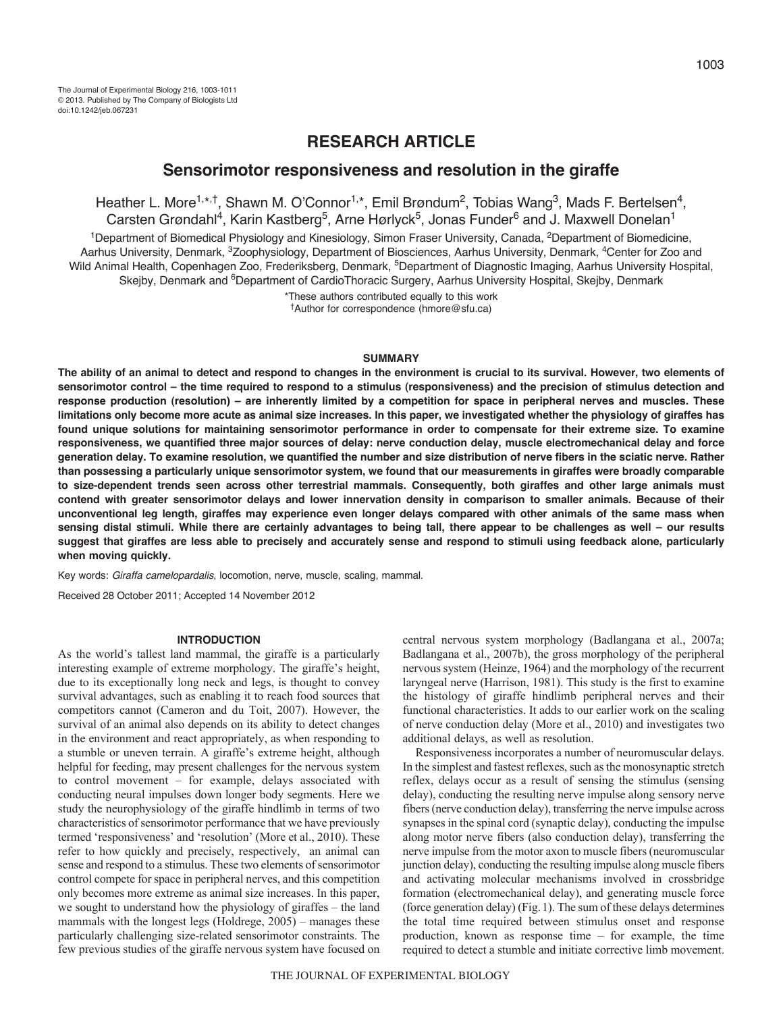# **RESEARCH ARTICLE**

# **Sensorimotor responsiveness and resolution in the giraffe**

Heather L. More<sup>1,\*,†</sup>, Shawn M. O'Connor<sup>1,\*</sup>, Emil Brøndum<sup>2</sup>, Tobias Wang<sup>3</sup>, Mads F. Bertelsen<sup>4</sup>, Carsten Grøndahl<sup>4</sup>, Karin Kastberg<sup>5</sup>, Arne Hørlyck<sup>5</sup>, Jonas Funder<sup>6</sup> and J. Maxwell Donelan<sup>1</sup>

<sup>1</sup>Department of Biomedical Physiology and Kinesiology, Simon Fraser University, Canada, <sup>2</sup>Department of Biomedicine, Aarhus University, Denmark, <sup>3</sup>Zoophysiology, Department of Biosciences, Aarhus University, Denmark, <sup>4</sup>Center for Zoo and Wild Animal Health, Copenhagen Zoo, Frederiksberg, Denmark, <sup>5</sup>Department of Diagnostic Imaging, Aarhus University Hospital, Skejby, Denmark and <sup>6</sup>Department of CardioThoracic Surgery, Aarhus University Hospital, Skejby, Denmark

\*These authors contributed equally to this work

†Author for correspondence (hmore@sfu.ca)

## **SUMMARY**

**The ability of an animal to detect and respond to changes in the environment is crucial to its survival. However, two elements of sensorimotor control – the time required to respond to a stimulus (responsiveness) and the precision of stimulus detection and response production (resolution) – are inherently limited by a competition for space in peripheral nerves and muscles. These limitations only become more acute as animal size increases. In this paper, we investigated whether the physiology of giraffes has found unique solutions for maintaining sensorimotor performance in order to compensate for their extreme size. To examine responsiveness, we quantified three major sources of delay: nerve conduction delay, muscle electromechanical delay and force generation delay. To examine resolution, we quantified the number and size distribution of nerve fibers in the sciatic nerve. Rather than possessing a particularly unique sensorimotor system, we found that our measurements in giraffes were broadly comparable to size-dependent trends seen across other terrestrial mammals. Consequently, both giraffes and other large animals must contend with greater sensorimotor delays and lower innervation density in comparison to smaller animals. Because of their unconventional leg length, giraffes may experience even longer delays compared with other animals of the same mass when sensing distal stimuli. While there are certainly advantages to being tall, there appear to be challenges as well – our results suggest that giraffes are less able to precisely and accurately sense and respond to stimuli using feedback alone, particularly when moving quickly.**

Key words: *Giraffa camelopardalis*, locomotion, nerve, muscle, scaling, mammal.

Received 28 October 2011; Accepted 14 November 2012

## **INTRODUCTION**

As the world's tallest land mammal, the giraffe is a particularly interesting example of extreme morphology. The giraffe's height, due to its exceptionally long neck and legs, is thought to convey survival advantages, such as enabling it to reach food sources that competitors cannot (Cameron and du Toit, 2007). However, the survival of an animal also depends on its ability to detect changes in the environment and react appropriately, as when responding to a stumble or uneven terrain. A giraffe's extreme height, although helpful for feeding, may present challenges for the nervous system to control movement – for example, delays associated with conducting neural impulses down longer body segments. Here we study the neurophysiology of the giraffe hindlimb in terms of two characteristics of sensorimotor performance that we have previously termed 'responsiveness' and 'resolution' (More et al., 2010). These refer to how quickly and precisely, respectively, an animal can sense and respond to a stimulus. These two elements of sensorimotor control compete for space in peripheral nerves, and this competition only becomes more extreme as animal size increases. In this paper, we sought to understand how the physiology of giraffes – the land mammals with the longest legs (Holdrege, 2005) – manages these particularly challenging size-related sensorimotor constraints. The few previous studies of the giraffe nervous system have focused on central nervous system morphology (Badlangana et al., 2007a; Badlangana et al., 2007b), the gross morphology of the peripheral nervous system (Heinze, 1964) and the morphology of the recurrent laryngeal nerve (Harrison, 1981). This study is the first to examine the histology of giraffe hindlimb peripheral nerves and their functional characteristics. It adds to our earlier work on the scaling of nerve conduction delay (More et al., 2010) and investigates two additional delays, as well as resolution.

Responsiveness incorporates a number of neuromuscular delays. In the simplest and fastest reflexes, such as the monosynaptic stretch reflex, delays occur as a result of sensing the stimulus (sensing delay), conducting the resulting nerve impulse along sensory nerve fibers (nerve conduction delay), transferring the nerve impulse across synapses in the spinal cord (synaptic delay), conducting the impulse along motor nerve fibers (also conduction delay), transferring the nerve impulse from the motor axon to muscle fibers (neuromuscular junction delay), conducting the resulting impulse along muscle fibers and activating molecular mechanisms involved in crossbridge formation (electromechanical delay), and generating muscle force (force generation delay) (Fig.1). The sum of these delays determines the total time required between stimulus onset and response production, known as response time – for example, the time required to detect a stumble and initiate corrective limb movement.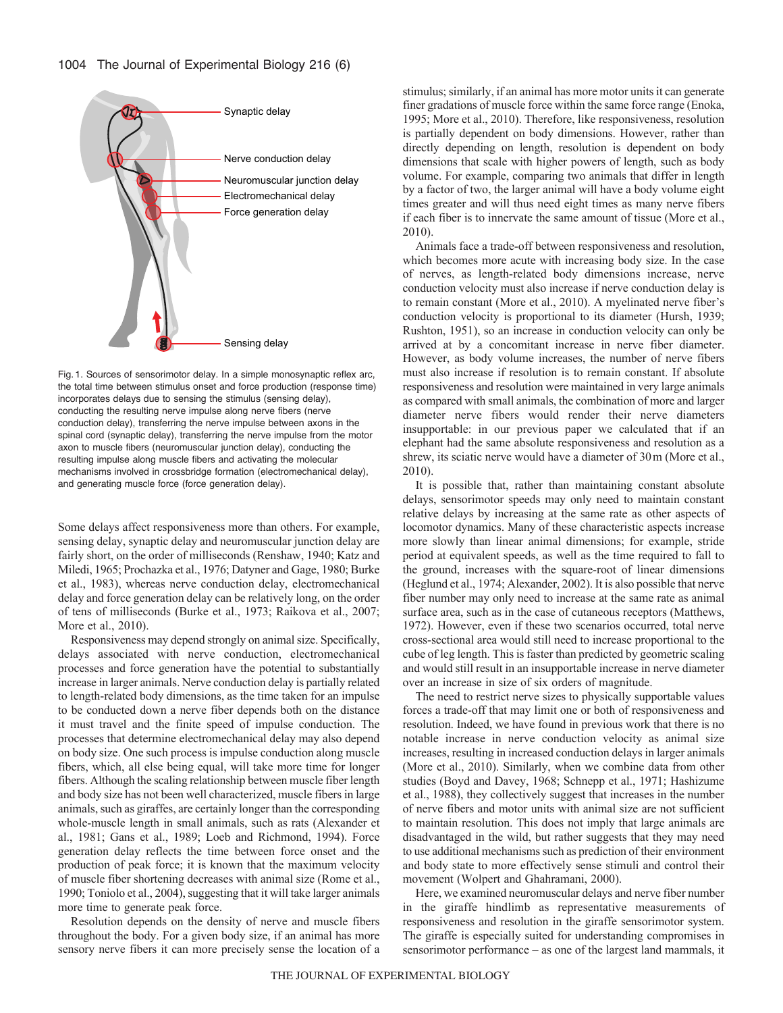

Fig. 1. Sources of sensorimotor delay. In a simple monosynaptic reflex arc, the total time between stimulus onset and force production (response time) incorporates delays due to sensing the stimulus (sensing delay), conducting the resulting nerve impulse along nerve fibers (nerve conduction delay), transferring the nerve impulse between axons in the spinal cord (synaptic delay), transferring the nerve impulse from the motor axon to muscle fibers (neuromuscular junction delay), conducting the resulting impulse along muscle fibers and activating the molecular mechanisms involved in crossbridge formation (electromechanical delay), and generating muscle force (force generation delay).

Some delays affect responsiveness more than others. For example, sensing delay, synaptic delay and neuromuscular junction delay are fairly short, on the order of milliseconds (Renshaw, 1940; Katz and Miledi, 1965; Prochazka et al., 1976; Datyner and Gage, 1980; Burke et al., 1983), whereas nerve conduction delay, electromechanical delay and force generation delay can be relatively long, on the order of tens of milliseconds (Burke et al., 1973; Raikova et al., 2007; More et al., 2010).

Responsiveness may depend strongly on animal size. Specifically, delays associated with nerve conduction, electromechanical processes and force generation have the potential to substantially increase in larger animals. Nerve conduction delay is partially related to length-related body dimensions, as the time taken for an impulse to be conducted down a nerve fiber depends both on the distance it must travel and the finite speed of impulse conduction. The processes that determine electromechanical delay may also depend on body size. One such process is impulse conduction along muscle fibers, which, all else being equal, will take more time for longer fibers. Although the scaling relationship between muscle fiber length and body size has not been well characterized, muscle fibers in large animals, such as giraffes, are certainly longer than the corresponding whole-muscle length in small animals, such as rats (Alexander et al., 1981; Gans et al., 1989; Loeb and Richmond, 1994). Force generation delay reflects the time between force onset and the production of peak force; it is known that the maximum velocity of muscle fiber shortening decreases with animal size (Rome et al., 1990; Toniolo et al., 2004), suggesting that it will take larger animals more time to generate peak force.

Resolution depends on the density of nerve and muscle fibers throughout the body. For a given body size, if an animal has more sensory nerve fibers it can more precisely sense the location of a stimulus; similarly, if an animal has more motor units it can generate finer gradations of muscle force within the same force range (Enoka, 1995; More et al., 2010). Therefore, like responsiveness, resolution is partially dependent on body dimensions. However, rather than directly depending on length, resolution is dependent on body dimensions that scale with higher powers of length, such as body volume. For example, comparing two animals that differ in length by a factor of two, the larger animal will have a body volume eight times greater and will thus need eight times as many nerve fibers if each fiber is to innervate the same amount of tissue (More et al., 2010).

Animals face a trade-off between responsiveness and resolution, which becomes more acute with increasing body size. In the case of nerves, as length-related body dimensions increase, nerve conduction velocity must also increase if nerve conduction delay is to remain constant (More et al., 2010). A myelinated nerve fiber's conduction velocity is proportional to its diameter (Hursh, 1939; Rushton, 1951), so an increase in conduction velocity can only be arrived at by a concomitant increase in nerve fiber diameter. However, as body volume increases, the number of nerve fibers must also increase if resolution is to remain constant. If absolute responsiveness and resolution were maintained in very large animals as compared with small animals, the combination of more and larger diameter nerve fibers would render their nerve diameters insupportable: in our previous paper we calculated that if an elephant had the same absolute responsiveness and resolution as a shrew, its sciatic nerve would have a diameter of 30m (More et al., 2010).

It is possible that, rather than maintaining constant absolute delays, sensorimotor speeds may only need to maintain constant relative delays by increasing at the same rate as other aspects of locomotor dynamics. Many of these characteristic aspects increase more slowly than linear animal dimensions; for example, stride period at equivalent speeds, as well as the time required to fall to the ground, increases with the square-root of linear dimensions (Heglund et al., 1974; Alexander, 2002). It is also possible that nerve fiber number may only need to increase at the same rate as animal surface area, such as in the case of cutaneous receptors (Matthews, 1972). However, even if these two scenarios occurred, total nerve cross-sectional area would still need to increase proportional to the cube of leg length. This is faster than predicted by geometric scaling and would still result in an insupportable increase in nerve diameter over an increase in size of six orders of magnitude.

The need to restrict nerve sizes to physically supportable values forces a trade-off that may limit one or both of responsiveness and resolution. Indeed, we have found in previous work that there is no notable increase in nerve conduction velocity as animal size increases, resulting in increased conduction delays in larger animals (More et al., 2010). Similarly, when we combine data from other studies (Boyd and Davey, 1968; Schnepp et al., 1971; Hashizume et al., 1988), they collectively suggest that increases in the number of nerve fibers and motor units with animal size are not sufficient to maintain resolution. This does not imply that large animals are disadvantaged in the wild, but rather suggests that they may need to use additional mechanisms such as prediction of their environment and body state to more effectively sense stimuli and control their movement (Wolpert and Ghahramani, 2000).

Here, we examined neuromuscular delays and nerve fiber number in the giraffe hindlimb as representative measurements of responsiveness and resolution in the giraffe sensorimotor system. The giraffe is especially suited for understanding compromises in sensorimotor performance – as one of the largest land mammals, it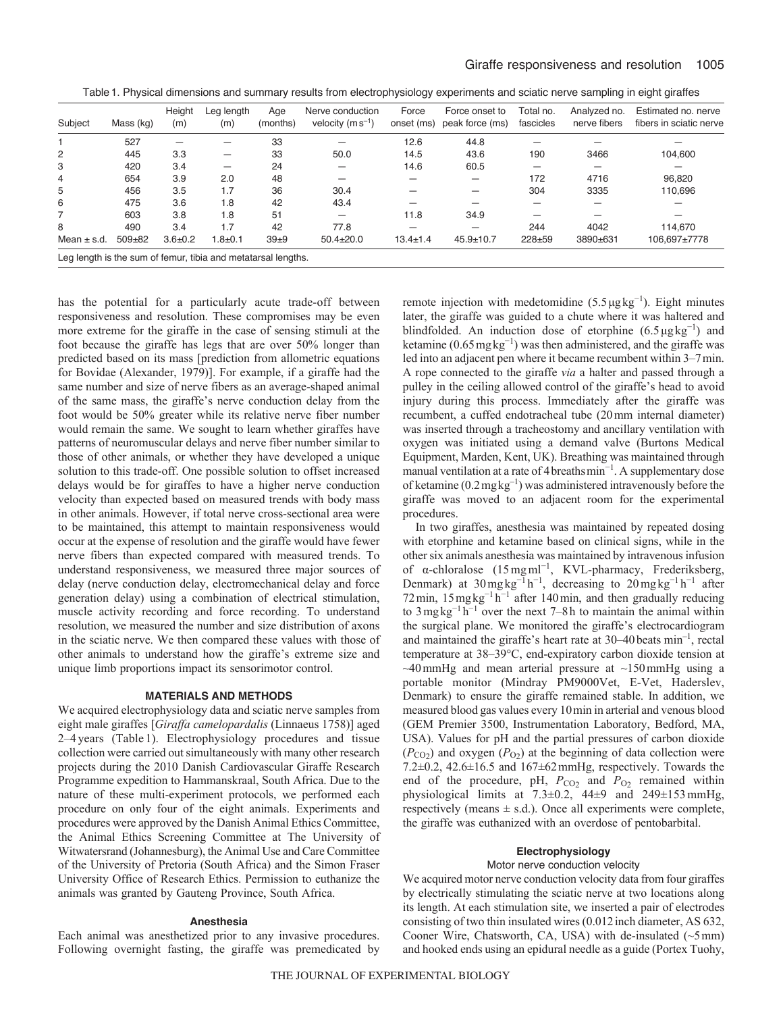| Subject         | Mass (kg)  | Height<br>(m) | Leg length<br>(m)                                             | Age<br>(months) | Nerve conduction<br>velocity $(m s^{-1})$ | Force<br>onset (ms) | Force onset to<br>peak force (ms) | Total no.<br>fascicles | Analyzed no.<br>nerve fibers | Estimated no. nerve<br>fibers in sciatic nerve |
|-----------------|------------|---------------|---------------------------------------------------------------|-----------------|-------------------------------------------|---------------------|-----------------------------------|------------------------|------------------------------|------------------------------------------------|
|                 | 527        |               |                                                               | 33              |                                           | 12.6                | 44.8                              |                        |                              |                                                |
| 2               | 445        | 3.3           |                                                               | 33              | 50.0                                      | 14.5                | 43.6                              | 190                    | 3466                         | 104,600                                        |
| 3               | 420        | 3.4           |                                                               | 24              |                                           | 14.6                | 60.5                              |                        |                              |                                                |
| 4               | 654        | 3.9           | 2.0                                                           | 48              |                                           |                     |                                   | 172                    | 4716                         | 96,820                                         |
| 5               | 456        | 3.5           | 1.7                                                           | 36              | 30.4                                      |                     |                                   | 304                    | 3335                         | 110,696                                        |
| 6               | 475        | 3.6           | 1.8                                                           | 42              | 43.4                                      |                     |                                   |                        |                              |                                                |
|                 | 603        | 3.8           | 1.8                                                           | 51              |                                           | 11.8                | 34.9                              |                        |                              |                                                |
| 8               | 490        | 3.4           | 1.7                                                           | 42              | 77.8                                      |                     |                                   | 244                    | 4042                         | 114.670                                        |
| Mean $\pm$ s.d. | $509 + 82$ | $3.6 + 0.2$   | $1.8 + 0.1$                                                   | $39+9$          | $50.4 \pm 20.0$                           | $13.4 \pm 1.4$      | $45.9 \pm 10.7$                   | $228 + 59$             | 3890±631                     | 106.697±7778                                   |
|                 |            |               | Leg length is the sum of femur, tibia and metatarsal lengths. |                 |                                           |                     |                                   |                        |                              |                                                |

Table1. Physical dimensions and summary results from electrophysiology experiments and sciatic nerve sampling in eight giraffes

has the potential for a particularly acute trade-off between responsiveness and resolution. These compromises may be even more extreme for the giraffe in the case of sensing stimuli at the foot because the giraffe has legs that are over 50% longer than predicted based on its mass [prediction from allometric equations for Bovidae (Alexander, 1979)]. For example, if a giraffe had the same number and size of nerve fibers as an average-shaped animal of the same mass, the giraffe's nerve conduction delay from the foot would be 50% greater while its relative nerve fiber number would remain the same. We sought to learn whether giraffes have patterns of neuromuscular delays and nerve fiber number similar to those of other animals, or whether they have developed a unique solution to this trade-off. One possible solution to offset increased delays would be for giraffes to have a higher nerve conduction velocity than expected based on measured trends with body mass in other animals. However, if total nerve cross-sectional area were to be maintained, this attempt to maintain responsiveness would occur at the expense of resolution and the giraffe would have fewer nerve fibers than expected compared with measured trends. To understand responsiveness, we measured three major sources of delay (nerve conduction delay, electromechanical delay and force generation delay) using a combination of electrical stimulation, muscle activity recording and force recording. To understand resolution, we measured the number and size distribution of axons in the sciatic nerve. We then compared these values with those of other animals to understand how the giraffe's extreme size and unique limb proportions impact its sensorimotor control.

## **MATERIALS AND METHODS**

We acquired electrophysiology data and sciatic nerve samples from eight male giraffes [*Giraffa camelopardalis* (Linnaeus 1758)] aged 2–4 years (Table 1). Electrophysiology procedures and tissue collection were carried out simultaneously with many other research projects during the 2010 Danish Cardiovascular Giraffe Research Programme expedition to Hammanskraal, South Africa. Due to the nature of these multi-experiment protocols, we performed each procedure on only four of the eight animals. Experiments and procedures were approved by the Danish Animal Ethics Committee, the Animal Ethics Screening Committee at The University of Witwatersrand (Johannesburg), the Animal Use and Care Committee of the University of Pretoria (South Africa) and the Simon Fraser University Office of Research Ethics. Permission to euthanize the animals was granted by Gauteng Province, South Africa.

## **Anesthesia**

Each animal was anesthetized prior to any invasive procedures. Following overnight fasting, the giraffe was premedicated by

remote injection with medetomidine  $(5.5 \mu g kg^{-1})$ . Eight minutes later, the giraffe was guided to a chute where it was haltered and blindfolded. An induction dose of etorphine  $(6.5 \mu g kg^{-1})$  and ketamine  $(0.65 \text{ mg kg}^{-1})$  was then administered, and the giraffe was led into an adjacent pen where it became recumbent within 3–7min. A rope connected to the giraffe *via* a halter and passed through a pulley in the ceiling allowed control of the giraffe's head to avoid injury during this process. Immediately after the giraffe was recumbent, a cuffed endotracheal tube (20mm internal diameter) was inserted through a tracheostomy and ancillary ventilation with oxygen was initiated using a demand valve (Burtons Medical Equipment, Marden, Kent, UK). Breathing was maintained through manual ventilation at a rate of 4 breaths min<sup>-1</sup>. A supplementary dose of ketamine  $(0.2 \text{ mg kg}^{-1})$  was administered intravenously before the giraffe was moved to an adjacent room for the experimental procedures.

In two giraffes, anesthesia was maintained by repeated dosing with etorphine and ketamine based on clinical signs, while in the other six animals anesthesia was maintained by intravenous infusion of α-chloralose (15 mg ml<sup>-1</sup>, KVL-pharmacy, Frederiksberg, Denmark) at  $30 \text{ mg} \text{ kg}^{-1} \text{ h}^{-1}$ , decreasing to  $20 \text{ mg} \text{ kg}^{-1} \text{ h}^{-1}$  after 72min, 15mgkg<sup>−</sup><sup>1</sup> h<sup>−</sup><sup>1</sup> after 140min, and then gradually reducing to  $3 \text{ mg} \text{ kg}^{-1} \text{ h}^{-1}$  over the next 7–8h to maintain the animal within the surgical plane. We monitored the giraffe's electrocardiogram and maintained the giraffe's heart rate at  $30-40$  beats min<sup>-1</sup>, rectal temperature at 38–39°C, end-expiratory carbon dioxide tension at  $~40$ mmHg and mean arterial pressure at  $~150$ mmHg using a portable monitor (Mindray PM9000Vet, E-Vet, Haderslev, Denmark) to ensure the giraffe remained stable. In addition, we measured blood gas values every 10min in arterial and venous blood (GEM Premier 3500, Instrumentation Laboratory, Bedford, MA, USA). Values for pH and the partial pressures of carbon dioxide  $(P_{CO<sub>2</sub>)$  and oxygen  $(P_{O<sub>2</sub>})$  at the beginning of data collection were 7.2±0.2, 42.6±16.5 and 167±62mmHg, respectively. Towards the end of the procedure, pH,  $P_{CO2}$  and  $P_{O2}$  remained within physiological limits at 7.3±0.2, 44±9 and 249±153mmHg, respectively (means  $\pm$  s.d.). Once all experiments were complete, the giraffe was euthanized with an overdose of pentobarbital.

## **Electrophysiology**

## Motor nerve conduction velocity

We acquired motor nerve conduction velocity data from four giraffes by electrically stimulating the sciatic nerve at two locations along its length. At each stimulation site, we inserted a pair of electrodes consisting of two thin insulated wires (0.012inch diameter, AS 632, Cooner Wire, Chatsworth, CA, USA) with de-insulated (~5mm) and hooked ends using an epidural needle as a guide (Portex Tuohy,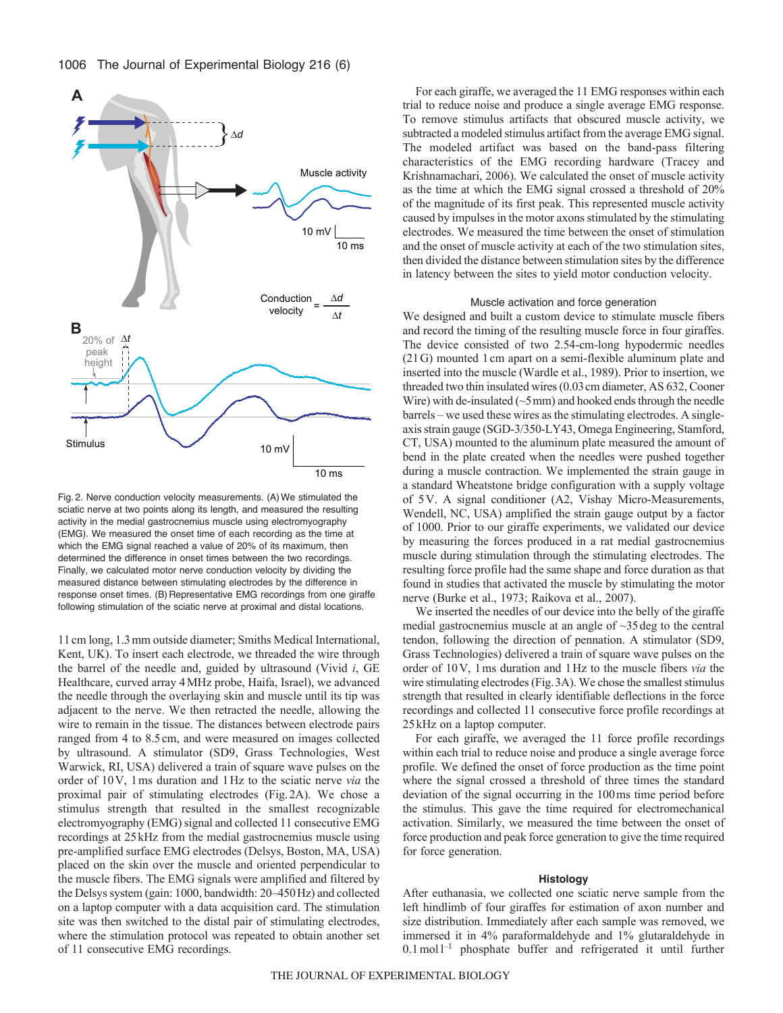

Fig. 2. Nerve conduction velocity measurements. (A)We stimulated the sciatic nerve at two points along its length, and measured the resulting activity in the medial gastrocnemius muscle using electromyography (EMG). We measured the onset time of each recording as the time at which the EMG signal reached a value of 20% of its maximum, then determined the difference in onset times between the two recordings. Finally, we calculated motor nerve conduction velocity by dividing the measured distance between stimulating electrodes by the difference in response onset times. (B) Representative EMG recordings from one giraffe following stimulation of the sciatic nerve at proximal and distal locations.

11cm long, 1.3mm outside diameter; Smiths Medical International, Kent, UK). To insert each electrode, we threaded the wire through the barrel of the needle and, guided by ultrasound (Vivid *i*, GE Healthcare, curved array 4MHz probe, Haifa, Israel), we advanced the needle through the overlaying skin and muscle until its tip was adjacent to the nerve. We then retracted the needle, allowing the wire to remain in the tissue. The distances between electrode pairs ranged from 4 to 8.5cm, and were measured on images collected by ultrasound. A stimulator (SD9, Grass Technologies, West Warwick, RI, USA) delivered a train of square wave pulses on the order of 10V, 1ms duration and 1Hz to the sciatic nerve *via* the proximal pair of stimulating electrodes (Fig.2A). We chose a stimulus strength that resulted in the smallest recognizable electromyography (EMG) signal and collected 11 consecutive EMG recordings at 25kHz from the medial gastrocnemius muscle using pre-amplified surface EMG electrodes (Delsys, Boston, MA, USA) placed on the skin over the muscle and oriented perpendicular to the muscle fibers. The EMG signals were amplified and filtered by the Delsys system (gain: 1000, bandwidth: 20–450Hz) and collected on a laptop computer with a data acquisition card. The stimulation site was then switched to the distal pair of stimulating electrodes, where the stimulation protocol was repeated to obtain another set of 11 consecutive EMG recordings.

For each giraffe, we averaged the 11 EMG responses within each trial to reduce noise and produce a single average EMG response. To remove stimulus artifacts that obscured muscle activity, we subtracted a modeled stimulus artifact from the average EMG signal. The modeled artifact was based on the band-pass filtering characteristics of the EMG recording hardware (Tracey and Krishnamachari, 2006). We calculated the onset of muscle activity as the time at which the EMG signal crossed a threshold of 20% of the magnitude of its first peak. This represented muscle activity caused by impulses in the motor axons stimulated by the stimulating electrodes. We measured the time between the onset of stimulation and the onset of muscle activity at each of the two stimulation sites, then divided the distance between stimulation sites by the difference in latency between the sites to yield motor conduction velocity.

### Muscle activation and force generation

We designed and built a custom device to stimulate muscle fibers and record the timing of the resulting muscle force in four giraffes. The device consisted of two 2.54-cm-long hypodermic needles (21G) mounted 1cm apart on a semi-flexible aluminum plate and inserted into the muscle (Wardle et al., 1989). Prior to insertion, we threaded two thin insulated wires (0.03cm diameter, AS 632, Cooner Wire) with de-insulated  $(5 \text{ mm})$  and hooked ends through the needle barrels – we used these wires as the stimulating electrodes. A singleaxis strain gauge (SGD-3/350-LY43, Omega Engineering, Stamford, CT, USA) mounted to the aluminum plate measured the amount of bend in the plate created when the needles were pushed together during a muscle contraction. We implemented the strain gauge in a standard Wheatstone bridge configuration with a supply voltage of 5V. A signal conditioner (A2, Vishay Micro-Measurements, Wendell, NC, USA) amplified the strain gauge output by a factor of 1000. Prior to our giraffe experiments, we validated our device by measuring the forces produced in a rat medial gastrocnemius muscle during stimulation through the stimulating electrodes. The resulting force profile had the same shape and force duration as that found in studies that activated the muscle by stimulating the motor nerve (Burke et al., 1973; Raikova et al., 2007).

We inserted the needles of our device into the belly of the giraffe medial gastrocnemius muscle at an angle of ~35deg to the central tendon, following the direction of pennation. A stimulator (SD9, Grass Technologies) delivered a train of square wave pulses on the order of 10V, 1ms duration and 1Hz to the muscle fibers *via* the wire stimulating electrodes (Fig.3A). We chose the smallest stimulus strength that resulted in clearly identifiable deflections in the force recordings and collected 11 consecutive force profile recordings at 25kHz on a laptop computer.

For each giraffe, we averaged the 11 force profile recordings within each trial to reduce noise and produce a single average force profile. We defined the onset of force production as the time point where the signal crossed a threshold of three times the standard deviation of the signal occurring in the 100ms time period before the stimulus. This gave the time required for electromechanical activation. Similarly, we measured the time between the onset of force production and peak force generation to give the time required for force generation.

### **Histology**

After euthanasia, we collected one sciatic nerve sample from the left hindlimb of four giraffes for estimation of axon number and size distribution. Immediately after each sample was removed, we immersed it in 4% paraformaldehyde and 1% glutaraldehyde in  $0.1 \text{ mol}^{-1}$  phosphate buffer and refrigerated it until further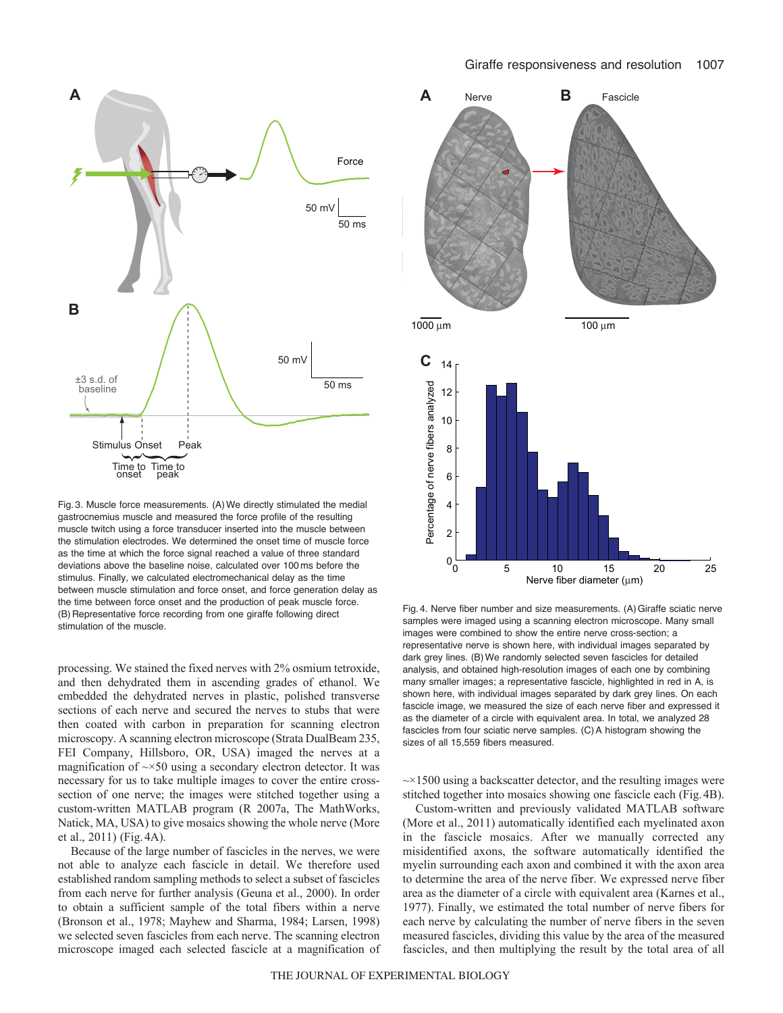

Fig. 3. Muscle force measurements. (A) We directly stimulated the medial gastrocnemius muscle and measured the force profile of the resulting muscle twitch using a force transducer inserted into the muscle between the stimulation electrodes. We determined the onset time of muscle force as the time at which the force signal reached a value of three standard deviations above the baseline noise, calculated over 100 ms before the stimulus. Finally, we calculated electromechanical delay as the time between muscle stimulation and force onset, and force generation delay as the time between force onset and the production of peak muscle force. (B) Representative force recording from one giraffe following direct stimulation of the muscle.

processing. We stained the fixed nerves with 2% osmium tetroxide, and then dehydrated them in ascending grades of ethanol. We embedded the dehydrated nerves in plastic, polished transverse sections of each nerve and secured the nerves to stubs that were then coated with carbon in preparation for scanning electron microscopy. A scanning electron microscope (Strata DualBeam 235, FEI Company, Hillsboro, OR, USA) imaged the nerves at a magnification of  $\sim$  50 using a secondary electron detector. It was necessary for us to take multiple images to cover the entire crosssection of one nerve; the images were stitched together using a custom-written MATLAB program (R 2007a, The MathWorks, Natick, MA, USA) to give mosaics showing the whole nerve (More et al., 2011) (Fig.4A).

Because of the large number of fascicles in the nerves, we were not able to analyze each fascicle in detail. We therefore used established random sampling methods to select a subset of fascicles from each nerve for further analysis (Geuna et al., 2000). In order to obtain a sufficient sample of the total fibers within a nerve (Bronson et al., 1978; Mayhew and Sharma, 1984; Larsen, 1998) we selected seven fascicles from each nerve. The scanning electron microscope imaged each selected fascicle at a magnification of





Fig. 4. Nerve fiber number and size measurements. (A)Giraffe sciatic nerve samples were imaged using a scanning electron microscope. Many small images were combined to show the entire nerve cross-section; a representative nerve is shown here, with individual images separated by dark grey lines. (B)We randomly selected seven fascicles for detailed analysis, and obtained high-resolution images of each one by combining many smaller images; a representative fascicle, highlighted in red in A, is shown here, with individual images separated by dark grey lines. On each fascicle image, we measured the size of each nerve fiber and expressed it as the diameter of a circle with equivalent area. In total, we analyzed 28 fascicles from four sciatic nerve samples. (C) A histogram showing the sizes of all 15,559 fibers measured.

 $\sim$  1500 using a backscatter detector, and the resulting images were stitched together into mosaics showing one fascicle each (Fig.4B).

Custom-written and previously validated MATLAB software (More et al., 2011) automatically identified each myelinated axon in the fascicle mosaics. After we manually corrected any misidentified axons, the software automatically identified the myelin surrounding each axon and combined it with the axon area to determine the area of the nerve fiber. We expressed nerve fiber area as the diameter of a circle with equivalent area (Karnes et al., 1977). Finally, we estimated the total number of nerve fibers for each nerve by calculating the number of nerve fibers in the seven measured fascicles, dividing this value by the area of the measured fascicles, and then multiplying the result by the total area of all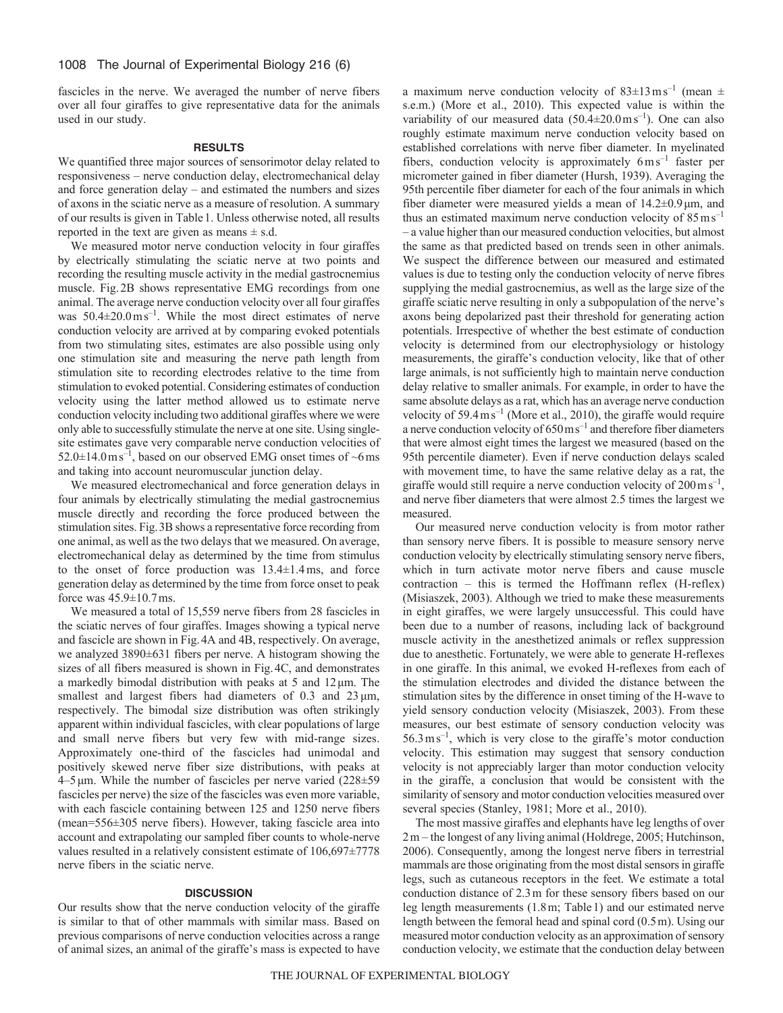fascicles in the nerve. We averaged the number of nerve fibers over all four giraffes to give representative data for the animals used in our study.

### **RESULTS**

We quantified three major sources of sensorimotor delay related to responsiveness – nerve conduction delay, electromechanical delay and force generation delay – and estimated the numbers and sizes of axons in the sciatic nerve as a measure of resolution. A summary of our results is given in Table1. Unless otherwise noted, all results reported in the text are given as means  $\pm$  s.d.

We measured motor nerve conduction velocity in four giraffes by electrically stimulating the sciatic nerve at two points and recording the resulting muscle activity in the medial gastrocnemius muscle. Fig.2B shows representative EMG recordings from one animal. The average nerve conduction velocity over all four giraffes was  $50.4 \pm 20.0 \,\mathrm{m\,s^{-1}}$ . While the most direct estimates of nerve conduction velocity are arrived at by comparing evoked potentials from two stimulating sites, estimates are also possible using only one stimulation site and measuring the nerve path length from stimulation site to recording electrodes relative to the time from stimulation to evoked potential. Considering estimates of conduction velocity using the latter method allowed us to estimate nerve conduction velocity including two additional giraffes where we were only able to successfully stimulate the nerve at one site. Using singlesite estimates gave very comparable nerve conduction velocities of  $52.0\pm14.0$  ms<sup>-1</sup>, based on our observed EMG onset times of ~6 ms and taking into account neuromuscular junction delay.

We measured electromechanical and force generation delays in four animals by electrically stimulating the medial gastrocnemius muscle directly and recording the force produced between the stimulation sites. Fig.3B shows a representative force recording from one animal, as well as the two delays that we measured. On average, electromechanical delay as determined by the time from stimulus to the onset of force production was  $13.4 \pm 1.4$  ms, and force generation delay as determined by the time from force onset to peak force was  $45.9 \pm 10.7$  ms.

We measured a total of 15,559 nerve fibers from 28 fascicles in the sciatic nerves of four giraffes. Images showing a typical nerve and fascicle are shown in Fig.4A and 4B, respectively. On average, we analyzed 3890±631 fibers per nerve. A histogram showing the sizes of all fibers measured is shown in Fig.4C, and demonstrates a markedly bimodal distribution with peaks at 5 and 12μm. The smallest and largest fibers had diameters of 0.3 and 23 μm, respectively. The bimodal size distribution was often strikingly apparent within individual fascicles, with clear populations of large and small nerve fibers but very few with mid-range sizes. Approximately one-third of the fascicles had unimodal and positively skewed nerve fiber size distributions, with peaks at  $4-5 \mu$ m. While the number of fascicles per nerve varied (228 $\pm$ 59 fascicles per nerve) the size of the fascicles was even more variable, with each fascicle containing between 125 and 1250 nerve fibers (mean=556±305 nerve fibers). However, taking fascicle area into account and extrapolating our sampled fiber counts to whole-nerve values resulted in a relatively consistent estimate of 106,697±7778 nerve fibers in the sciatic nerve.

## **DISCUSSION**

Our results show that the nerve conduction velocity of the giraffe is similar to that of other mammals with similar mass. Based on previous comparisons of nerve conduction velocities across a range of animal sizes, an animal of the giraffe's mass is expected to have a maximum nerve conduction velocity of  $83 \pm 13 \text{ m s}^{-1}$  (mean  $\pm$ s.e.m.) (More et al., 2010). This expected value is within the variability of our measured data  $(50.4 \pm 20.0 \text{ m s}^{-1})$ . One can also roughly estimate maximum nerve conduction velocity based on established correlations with nerve fiber diameter. In myelinated fibers, conduction velocity is approximately  $6 \text{ ms}^{-1}$  faster per micrometer gained in fiber diameter (Hursh, 1939). Averaging the 95th percentile fiber diameter for each of the four animals in which fiber diameter were measured yields a mean of 14.2±0.9μm, and thus an estimated maximum nerve conduction velocity of  $85 \text{ ms}^{-1}$ – a value higher than our measured conduction velocities, but almost the same as that predicted based on trends seen in other animals. We suspect the difference between our measured and estimated values is due to testing only the conduction velocity of nerve fibres supplying the medial gastrocnemius, as well as the large size of the giraffe sciatic nerve resulting in only a subpopulation of the nerve's axons being depolarized past their threshold for generating action potentials. Irrespective of whether the best estimate of conduction velocity is determined from our electrophysiology or histology measurements, the giraffe's conduction velocity, like that of other large animals, is not sufficiently high to maintain nerve conduction delay relative to smaller animals. For example, in order to have the same absolute delays as a rat, which has an average nerve conduction velocity of  $59.4 \text{ m s}^{-1}$  (More et al., 2010), the giraffe would require a nerve conduction velocity of  $650 \text{ms}^{-1}$  and therefore fiber diameters that were almost eight times the largest we measured (based on the 95th percentile diameter). Even if nerve conduction delays scaled with movement time, to have the same relative delay as a rat, the giraffe would still require a nerve conduction velocity of  $200 \text{ m s}^{-1}$ , and nerve fiber diameters that were almost 2.5 times the largest we measured.

Our measured nerve conduction velocity is from motor rather than sensory nerve fibers. It is possible to measure sensory nerve conduction velocity by electrically stimulating sensory nerve fibers, which in turn activate motor nerve fibers and cause muscle contraction – this is termed the Hoffmann reflex (H-reflex) (Misiaszek, 2003). Although we tried to make these measurements in eight giraffes, we were largely unsuccessful. This could have been due to a number of reasons, including lack of background muscle activity in the anesthetized animals or reflex suppression due to anesthetic. Fortunately, we were able to generate H-reflexes in one giraffe. In this animal, we evoked H-reflexes from each of the stimulation electrodes and divided the distance between the stimulation sites by the difference in onset timing of the H-wave to yield sensory conduction velocity (Misiaszek, 2003). From these measures, our best estimate of sensory conduction velocity was  $56.3 \text{ m s}^{-1}$ , which is very close to the giraffe's motor conduction velocity. This estimation may suggest that sensory conduction velocity is not appreciably larger than motor conduction velocity in the giraffe, a conclusion that would be consistent with the similarity of sensory and motor conduction velocities measured over several species (Stanley, 1981; More et al., 2010).

The most massive giraffes and elephants have leg lengths of over 2m – the longest of any living animal (Holdrege, 2005; Hutchinson, 2006). Consequently, among the longest nerve fibers in terrestrial mammals are those originating from the most distal sensors in giraffe legs, such as cutaneous receptors in the feet. We estimate a total conduction distance of 2.3m for these sensory fibers based on our leg length measurements (1.8m; Table1) and our estimated nerve length between the femoral head and spinal cord (0.5m). Using our measured motor conduction velocity as an approximation of sensory conduction velocity, we estimate that the conduction delay between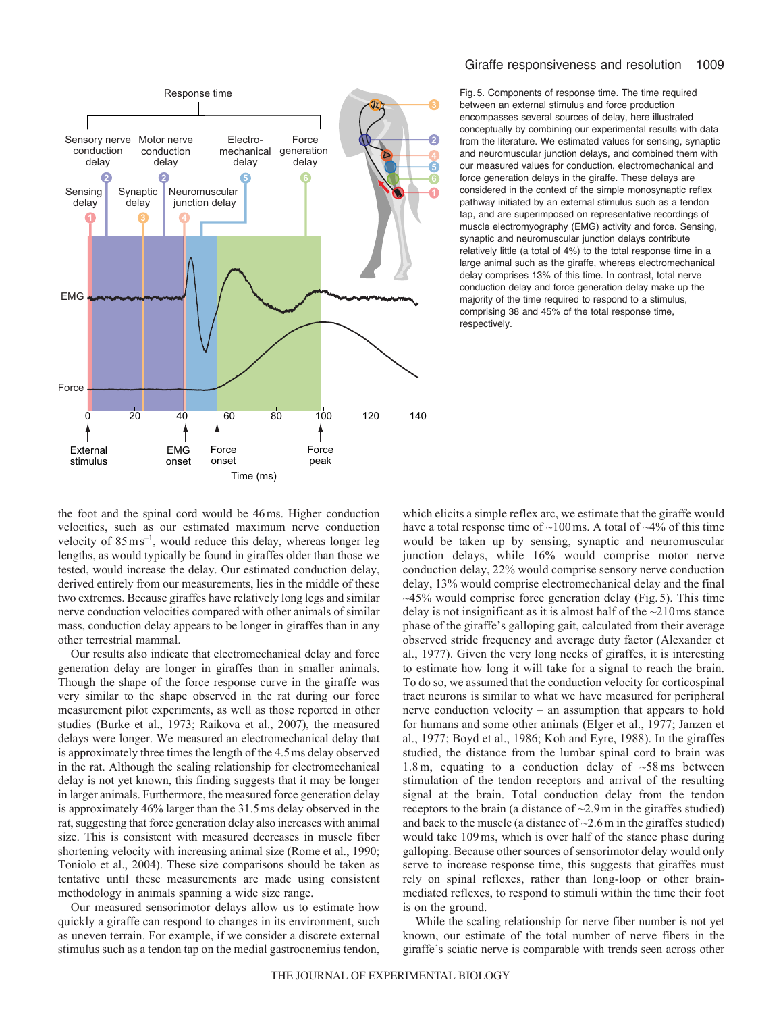



Fig. 5. Components of response time. The time required between an external stimulus and force production encompasses several sources of delay, here illustrated conceptually by combining our experimental results with data from the literature. We estimated values for sensing, synaptic and neuromuscular junction delays, and combined them with our measured values for conduction, electromechanical and force generation delays in the giraffe. These delays are considered in the context of the simple monosynaptic reflex pathway initiated by an external stimulus such as a tendon tap, and are superimposed on representative recordings of muscle electromyography (EMG) activity and force. Sensing, synaptic and neuromuscular junction delays contribute relatively little (a total of 4%) to the total response time in a large animal such as the giraffe, whereas electromechanical delay comprises 13% of this time. In contrast, total nerve conduction delay and force generation delay make up the majority of the time required to respond to a stimulus, comprising 38 and 45% of the total response time, respectively.

the foot and the spinal cord would be 46ms. Higher conduction velocities, such as our estimated maximum nerve conduction velocity of  $85 \text{ m s}^{-1}$ , would reduce this delay, whereas longer leg lengths, as would typically be found in giraffes older than those we tested, would increase the delay. Our estimated conduction delay, derived entirely from our measurements, lies in the middle of these two extremes. Because giraffes have relatively long legs and similar nerve conduction velocities compared with other animals of similar mass, conduction delay appears to be longer in giraffes than in any other terrestrial mammal.

Our results also indicate that electromechanical delay and force generation delay are longer in giraffes than in smaller animals. Though the shape of the force response curve in the giraffe was very similar to the shape observed in the rat during our force measurement pilot experiments, as well as those reported in other studies (Burke et al., 1973; Raikova et al., 2007), the measured delays were longer. We measured an electromechanical delay that is approximately three times the length of the 4.5ms delay observed in the rat. Although the scaling relationship for electromechanical delay is not yet known, this finding suggests that it may be longer in larger animals. Furthermore, the measured force generation delay is approximately 46% larger than the 31.5ms delay observed in the rat, suggesting that force generation delay also increases with animal size. This is consistent with measured decreases in muscle fiber shortening velocity with increasing animal size (Rome et al., 1990; Toniolo et al., 2004). These size comparisons should be taken as tentative until these measurements are made using consistent methodology in animals spanning a wide size range.

Our measured sensorimotor delays allow us to estimate how quickly a giraffe can respond to changes in its environment, such as uneven terrain. For example, if we consider a discrete external stimulus such as a tendon tap on the medial gastrocnemius tendon, which elicits a simple reflex arc, we estimate that the giraffe would have a total response time of  $\sim$ 100 ms. A total of  $\sim$ 4% of this time would be taken up by sensing, synaptic and neuromuscular junction delays, while 16% would comprise motor nerve conduction delay, 22% would comprise sensory nerve conduction delay, 13% would comprise electromechanical delay and the final  $\sim$ 45% would comprise force generation delay (Fig. 5). This time delay is not insignificant as it is almost half of the  $\sim$ 210 ms stance phase of the giraffe's galloping gait, calculated from their average observed stride frequency and average duty factor (Alexander et al., 1977). Given the very long necks of giraffes, it is interesting to estimate how long it will take for a signal to reach the brain. To do so, we assumed that the conduction velocity for corticospinal tract neurons is similar to what we have measured for peripheral nerve conduction velocity – an assumption that appears to hold for humans and some other animals (Elger et al., 1977; Janzen et al., 1977; Boyd et al., 1986; Koh and Eyre, 1988). In the giraffes studied, the distance from the lumbar spinal cord to brain was 1.8 m, equating to a conduction delay of  $\sim$ 58 ms between stimulation of the tendon receptors and arrival of the resulting signal at the brain. Total conduction delay from the tendon receptors to the brain (a distance of ~2.9m in the giraffes studied) and back to the muscle (a distance of  $\sim$ 2.6m in the giraffes studied) would take 109ms, which is over half of the stance phase during galloping. Because other sources of sensorimotor delay would only serve to increase response time, this suggests that giraffes must rely on spinal reflexes, rather than long-loop or other brainmediated reflexes, to respond to stimuli within the time their foot is on the ground.

While the scaling relationship for nerve fiber number is not yet known, our estimate of the total number of nerve fibers in the giraffe's sciatic nerve is comparable with trends seen across other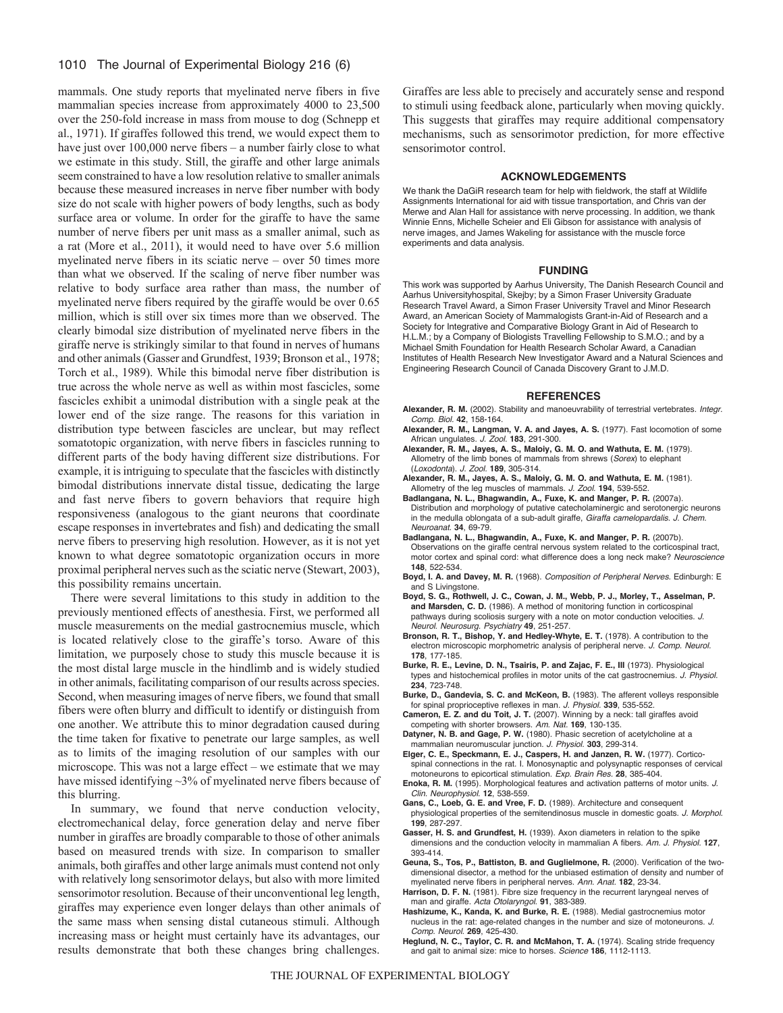## 1010 The Journal of Experimental Biology 216 (6)

mammals. One study reports that myelinated nerve fibers in five mammalian species increase from approximately 4000 to 23,500 over the 250-fold increase in mass from mouse to dog (Schnepp et al., 1971). If giraffes followed this trend, we would expect them to have just over 100,000 nerve fibers – a number fairly close to what we estimate in this study. Still, the giraffe and other large animals seem constrained to have a low resolution relative to smaller animals because these measured increases in nerve fiber number with body size do not scale with higher powers of body lengths, such as body surface area or volume. In order for the giraffe to have the same number of nerve fibers per unit mass as a smaller animal, such as a rat (More et al., 2011), it would need to have over 5.6 million myelinated nerve fibers in its sciatic nerve – over 50 times more than what we observed. If the scaling of nerve fiber number was relative to body surface area rather than mass, the number of myelinated nerve fibers required by the giraffe would be over 0.65 million, which is still over six times more than we observed. The clearly bimodal size distribution of myelinated nerve fibers in the giraffe nerve is strikingly similar to that found in nerves of humans and other animals (Gasser and Grundfest, 1939; Bronson et al., 1978; Torch et al., 1989). While this bimodal nerve fiber distribution is true across the whole nerve as well as within most fascicles, some fascicles exhibit a unimodal distribution with a single peak at the lower end of the size range. The reasons for this variation in distribution type between fascicles are unclear, but may reflect somatotopic organization, with nerve fibers in fascicles running to different parts of the body having different size distributions. For example, it is intriguing to speculate that the fascicles with distinctly bimodal distributions innervate distal tissue, dedicating the large and fast nerve fibers to govern behaviors that require high responsiveness (analogous to the giant neurons that coordinate escape responses in invertebrates and fish) and dedicating the small nerve fibers to preserving high resolution. However, as it is not yet known to what degree somatotopic organization occurs in more proximal peripheral nerves such as the sciatic nerve (Stewart, 2003), this possibility remains uncertain.

There were several limitations to this study in addition to the previously mentioned effects of anesthesia. First, we performed all muscle measurements on the medial gastrocnemius muscle, which is located relatively close to the giraffe's torso. Aware of this limitation, we purposely chose to study this muscle because it is the most distal large muscle in the hindlimb and is widely studied in other animals, facilitating comparison of our results across species. Second, when measuring images of nerve fibers, we found that small fibers were often blurry and difficult to identify or distinguish from one another. We attribute this to minor degradation caused during the time taken for fixative to penetrate our large samples, as well as to limits of the imaging resolution of our samples with our microscope. This was not a large effect – we estimate that we may have missed identifying ~3% of myelinated nerve fibers because of this blurring.

In summary, we found that nerve conduction velocity, electromechanical delay, force generation delay and nerve fiber number in giraffes are broadly comparable to those of other animals based on measured trends with size. In comparison to smaller animals, both giraffes and other large animals must contend not only with relatively long sensorimotor delays, but also with more limited sensorimotor resolution. Because of their unconventional leg length, giraffes may experience even longer delays than other animals of the same mass when sensing distal cutaneous stimuli. Although increasing mass or height must certainly have its advantages, our results demonstrate that both these changes bring challenges.

Giraffes are less able to precisely and accurately sense and respond to stimuli using feedback alone, particularly when moving quickly. This suggests that giraffes may require additional compensatory mechanisms, such as sensorimotor prediction, for more effective sensorimotor control.

#### **ACKNOWLEDGEMENTS**

We thank the DaGiR research team for help with fieldwork, the staff at Wildlife Assignments International for aid with tissue transportation, and Chris van der Merwe and Alan Hall for assistance with nerve processing. In addition, we thank Winnie Enns, Michelle Scheier and Eli Gibson for assistance with analysis of nerve images, and James Wakeling for assistance with the muscle force experiments and data analysis.

#### **FUNDING**

This work was supported by Aarhus University, The Danish Research Council and Aarhus Universityhospital, Skejby; by a Simon Fraser University Graduate Research Travel Award, a Simon Fraser University Travel and Minor Research Award, an American Society of Mammalogists Grant-in-Aid of Research and a Society for Integrative and Comparative Biology Grant in Aid of Research to H.L.M.; by a Company of Biologists Travelling Fellowship to S.M.O.; and by a Michael Smith Foundation for Health Research Scholar Award, a Canadian Institutes of Health Research New Investigator Award and a Natural Sciences and Engineering Research Council of Canada Discovery Grant to J.M.D.

#### **REFERENCES**

- **Alexander, R. M.** (2002). Stability and manoeuvrability of terrestrial vertebrates. *Integr. Comp. Biol.* **42**, 158-164.
- **Alexander, R. M., Langman, V. A. and Jayes, A. S.** (1977). Fast locomotion of some African ungulates. *J. Zool.* **183**, 291-300.
- **Alexander, R. M., Jayes, A. S., Maloiy, G. M. O. and Wathuta, E. M.** (1979). Allometry of the limb bones of mammals from shrews (*Sorex*) to elephant (*Loxodonta*). *J. Zool.* **189**, 305-314.
- **Alexander, R. M., Jayes, A. S., Maloiy, G. M. O. and Wathuta, E. M.** (1981). Allometry of the leg muscles of mammals. *J. Zool.* **194**, 539-552.
- **Badlangana, N. L., Bhagwandin, A., Fuxe, K. and Manger, P. R.** (2007a). Distribution and morphology of putative catecholaminergic and serotonergic neurons in the medulla oblongata of a sub-adult giraffe, *Giraffa camelopardalis*. *J. Chem. Neuroanat.* **34**, 69-79.
- **Badlangana, N. L., Bhagwandin, A., Fuxe, K. and Manger, P. R.** (2007b). Observations on the giraffe central nervous system related to the corticospinal tract, motor cortex and spinal cord: what difference does a long neck make? *Neuroscience* **148**, 522-534.
- **Boyd, I. A. and Davey, M. R.** (1968). *Composition of Peripheral Nerves.* Edinburgh: E and S Livingstone.
- **Boyd, S. G., Rothwell, J. C., Cowan, J. M., Webb, P. J., Morley, T., Asselman, P. and Marsden, C. D.** (1986). A method of monitoring function in corticospinal pathways during scoliosis surgery with a note on motor conduction velocities. *J. Neurol. Neurosurg. Psychiatry* **49**, 251-257.
- **Bronson, R. T., Bishop, Y. and Hedley-Whyte, E. T.** (1978). A contribution to the electron microscopic morphometric analysis of peripheral nerve. *J. Comp. Neurol.* **178**, 177-185.
- **Burke, R. E., Levine, D. N., Tsairis, P. and Zajac, F. E., III** (1973). Physiological types and histochemical profiles in motor units of the cat gastrocnemius. *J. Physiol.* **234**, 723-748.
- **Burke, D., Gandevia, S. C. and McKeon, B.** (1983). The afferent volleys responsible for spinal proprioceptive reflexes in man. *J. Physiol.* **339**, 535-552.
- **Cameron, E. Z. and du Toit, J. T.** (2007). Winning by a neck: tall giraffes avoid competing with shorter browsers. *Am. Nat.* **169**, 130-135.
- **Datyner, N. B. and Gage, P. W.** (1980). Phasic secretion of acetylcholine at a
- mammalian neuromuscular junction. *J. Physiol.* **303**, 299-314. **Elger, C. E., Speckmann, E. J., Caspers, H. and Janzen, R. W.** (1977). Corticospinal connections in the rat. I. Monosynaptic and polysynaptic responses of cervical motoneurons to epicortical stimulation. *Exp. Brain Res.* **28**, 385-404.
- **Enoka, R. M.** (1995). Morphological features and activation patterns of motor units. *J. Clin. Neurophysiol.* **12**, 538-559.
- **Gans, C., Loeb, G. E. and Vree, F. D.** (1989). Architecture and consequent physiological properties of the semitendinosus muscle in domestic goats. *J. Morphol.* **199**, 287-297.
- **Gasser, H. S. and Grundfest, H.** (1939). Axon diameters in relation to the spike dimensions and the conduction velocity in mammalian A fibers. *Am. J. Physiol.* **127**, 393-414.
- **Geuna, S., Tos, P., Battiston, B. and Guglielmone, R.** (2000). Verification of the twodimensional disector, a method for the unbiased estimation of density and number of myelinated nerve fibers in peripheral nerves. *Ann. Anat.* **182**, 23-34.
- Harrison, D. F. N. (1981). Fibre size frequency in the recurrent laryngeal nerves of man and giraffe. *Acta Otolaryngol.* **91**, 383-389.
- **Hashizume, K., Kanda, K. and Burke, R. E.** (1988). Medial gastrocnemius motor nucleus in the rat: age-related changes in the number and size of motoneurons. *J. Comp. Neurol.* **269**, 425-430.
- **Heglund, N. C., Taylor, C. R. and McMahon, T. A.** (1974). Scaling stride frequency and gait to animal size: mice to horses. *Science* **186**, 1112-1113.